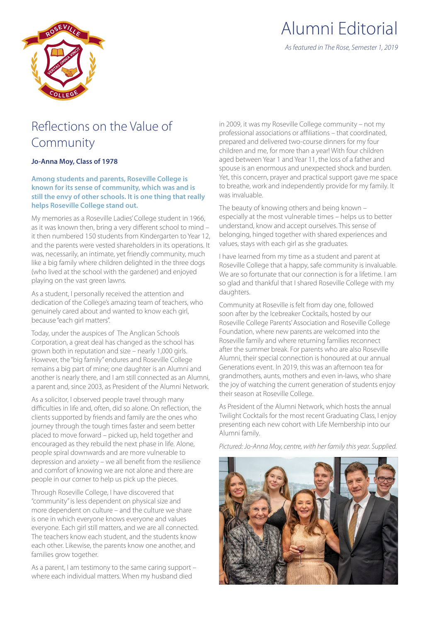

## Reflections on the Value of Community

## **Jo-Anna Moy, Class of 1978**

## **Among students and parents, Roseville College is known for its sense of community, which was and is still the envy of other schools. It is one thing that really helps Roseville College stand out.**

My memories as a Roseville Ladies' College student in 1966, as it was known then, bring a very different school to mind – it then numbered 150 students from Kindergarten to Year 12, and the parents were vested shareholders in its operations. It was, necessarily, an intimate, yet friendly community, much like a big family where children delighted in the three dogs (who lived at the school with the gardener) and enjoyed playing on the vast green lawns.

As a student, I personally received the attention and dedication of the College's amazing team of teachers, who genuinely cared about and wanted to know each girl, because "each girl matters".

Today, under the auspices of The Anglican Schools Corporation, a great deal has changed as the school has grown both in reputation and size – nearly 1,000 girls. However, the "big family" endures and Roseville College remains a big part of mine; one daughter is an Alumni and another is nearly there, and I am still connected as an Alumni, a parent and, since 2003, as President of the Alumni Network.

As a solicitor, I observed people travel through many difficulties in life and, often, did so alone. On reflection, the clients supported by friends and family are the ones who journey through the tough times faster and seem better placed to move forward – picked up, held together and encouraged as they rebuild the next phase in life. Alone, people spiral downwards and are more vulnerable to depression and anxiety – we all benefit from the resilience and comfort of knowing we are not alone and there are people in our corner to help us pick up the pieces.

Through Roseville College, I have discovered that "community" is less dependent on physical size and more dependent on culture – and the culture we share is one in which everyone knows everyone and values everyone. Each girl still matters, and we are all connected. The teachers know each student, and the students know each other. Likewise, the parents know one another, and families grow together.

As a parent, I am testimony to the same caring support – where each individual matters. When my husband died

in 2009, it was my Roseville College community – not my professional associations or affiliations – that coordinated, prepared and delivered two-course dinners for my four children and me, for more than a year! With four children aged between Year 1 and Year 11, the loss of a father and spouse is an enormous and unexpected shock and burden. Yet, this concern, prayer and practical support gave me space to breathe, work and independently provide for my family. It was invaluable.

The beauty of knowing others and being known – especially at the most vulnerable times – helps us to better understand, know and accept ourselves. This sense of belonging, hinged together with shared experiences and values, stays with each girl as she graduates.

I have learned from my time as a student and parent at Roseville College that a happy, safe community is invaluable. We are so fortunate that our connection is for a lifetime. I am so glad and thankful that I shared Roseville College with my daughters.

Community at Roseville is felt from day one, followed soon after by the Icebreaker Cocktails, hosted by our Roseville College Parents' Association and Roseville College Foundation, where new parents are welcomed into the Roseville family and where returning families reconnect after the summer break. For parents who are also Roseville Alumni, their special connection is honoured at our annual Generations event. In 2019, this was an afternoon tea for grandmothers, aunts, mothers and even in-laws, who share the joy of watching the current generation of students enjoy their season at Roseville College.

As President of the Alumni Network, which hosts the annual Twilight Cocktails for the most recent Graduating Class, I enjoy presenting each new cohort with Life Membership into our Alumni family.

*Pictured: Jo-Anna Moy, centre, with her family this year. Supplied.*